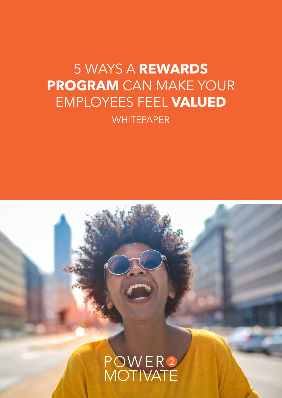# 5 WAYS A **REWARDS PROGRAM** CAN MAKE YOUR EMPLOYEES FEEL **VALUED WHITEPAPER**

POWER2<br>MOTIVATE

**1.** 5 WAYS A REWARDS PROGRAM CAN MAKE YOUR EMPLOYEES FEEL VALUED | power2motivate.com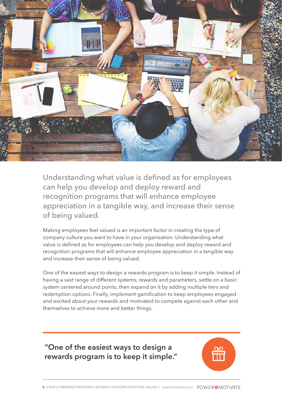

Understanding what value is defined as for employees can help you develop and deploy reward and recognition programs that will enhance employee appreciation in a tangible way, and increase their sense of being valued.

Making employees feel valued is an important factor in creating the type of company culture you want to have in your organisation. Understanding what value is defined as for employees can help you develop and deploy reward and recognition programs that will enhance employee appreciation in a tangible way and increase their sense of being valued.

One of the easiest ways to design a rewards program is to keep it simple. Instead of having a vast range of different systems, rewards and parameters, settle on a basic system centered around points, then expand on it by adding multiple tiers and redemption options. Finally, implement gamification to keep employees engaged and excited about your rewards and motivated to compete against each other and themselves to achieve more and better things.

**"One of the easiest ways to design a rewards program is to keep it simple."**

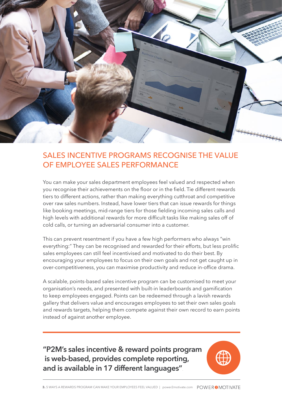

#### SALES INCENTIVE PROGRAMS RECOGNISE THE VALUE OF EMPLOYEE SALES PERFORMANCE

You can make your sales department employees feel valued and respected when you recognise their achievements on the floor or in the field. Tie different rewards tiers to different actions, rather than making everything cutthroat and competitive over raw sales numbers. Instead, have lower tiers that can issue rewards for things like booking meetings, mid-range tiers for those fielding incoming sales calls and high levels with additional rewards for more difficult tasks like making sales off of cold calls, or turning an adversarial consumer into a customer.

This can prevent resentment if you have a few high performers who always "win everything:" They can be recognised and rewarded for their efforts, but less prolific sales employees can still feel incentivised and motivated to do their best. By encouraging your employees to focus on their own goals and not get caught up in over-competitiveness, you can maximise productivity and reduce in-office drama.

A scalable, points-based sales incentive program can be customised to meet your organisation's needs, and presented with built-in leaderboards and gamification to keep employees engaged. Points can be redeemed through a lavish rewards gallery that delivers value and encourages employees to set their own sales goals and rewards targets, helping them compete against their own record to earn points instead of against another employee.

**"P2M's sales incentive & reward points program is web-based, provides complete reporting, and is available in 17 different languages"**.

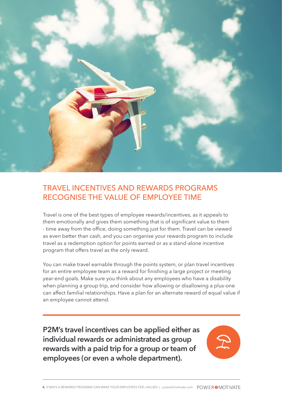

# TRAVEL INCENTIVES AND REWARDS PROGRAMS RECOGNISE THE VALUE OF EMPLOYEE TIME

Travel is one of the best types of employee rewards/incentives, as it appeals to them emotionally and gives them something that is of significant value to them - time away from the office, doing something just for them. Travel can be viewed as even better than cash, and you can organise your rewards program to include travel as a redemption option for points earned or as a stand-alone incentive program that offers travel as the only reward.

You can make travel earnable through the points system, or plan travel incentives for an entire employee team as a reward for finishing a large project or meeting year-end goals. Make sure you think about any employees who have a disability when planning a group trip, and consider how allowing or disallowing a plus-one can affect familial relationships. Have a plan for an alternate reward of equal value if an employee cannot attend.

**P2M's travel incentives can be applied either as individual rewards or administrated as group rewards with a paid trip for a group or team of employees (or even a whole department).**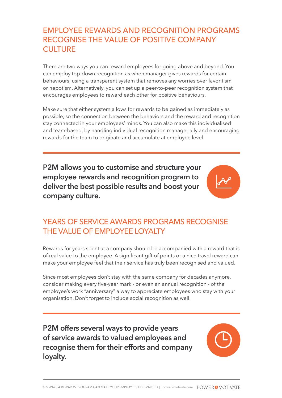# EMPLOYEE REWARDS AND RECOGNITION PROGRAMS RECOGNISE THE VALUE OF POSITIVE COMPANY **CULTURE**

There are two ways you can reward employees for going above and beyond. You can employ top-down recognition as when manager gives rewards for certain behaviours, using a transparent system that removes any worries over favoritism or nepotism. Alternatively, you can set up a peer-to-peer recognition system that encourages employees to reward each other for positive behaviours.

Make sure that either system allows for rewards to be gained as immediately as possible, so the connection between the behaviors and the reward and recognition stay connected in your employees' minds. You can also make this individualised and team-based, by handling individual recognition managerially and encouraging rewards for the team to originate and accumulate at employee level.

**P2M allows you to customise and structure your employee rewards and recognition program to deliver the best possible results and boost your company culture.**

# YEARS OF SERVICE AWARDS PROGRAMS RECOGNISE THE VALUE OF EMPLOYEE LOYALTY

Rewards for years spent at a company should be accompanied with a reward that is of real value to the employee. A significant gift of points or a nice travel reward can make your employee feel that their service has truly been recognised and valued.

Since most employees don't stay with the same company for decades anymore, consider making every five-year mark - or even an annual recognition - of the employee's work "anniversary" a way to appreciate employees who stay with your organisation. Don't forget to include social recognition as well.

**P2M offers several ways to provide years of service awards to valued employees and recognise them for their efforts and company loyalty.**